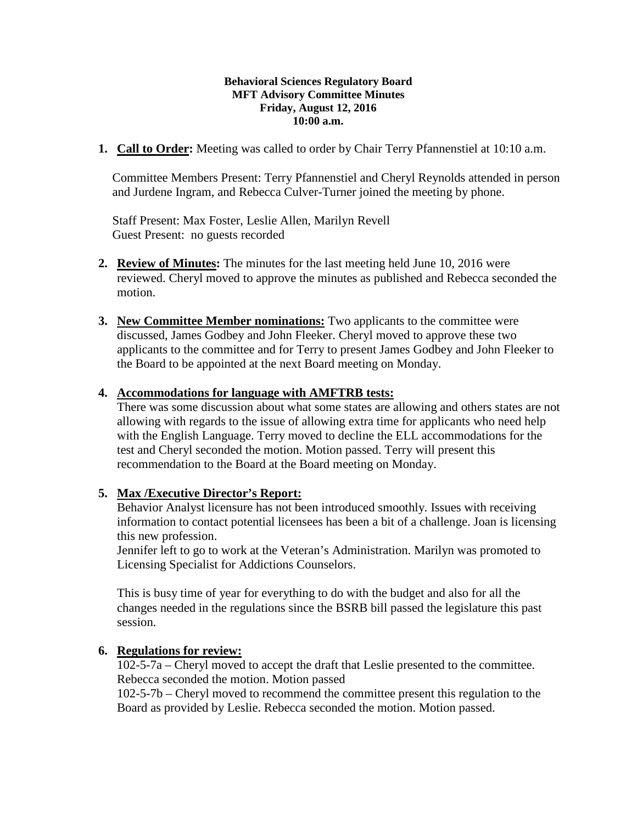## **Behavioral Sciences Regulatory Board MFT Advisory Committee Minutes Friday, August 12, 2016 10:00 a.m.**

**1. Call to Order:** Meeting was called to order by Chair Terry Pfannenstiel at 10:10 a.m.

Committee Members Present: Terry Pfannenstiel and Cheryl Reynolds attended in person and Jurdene Ingram, and Rebecca Culver-Turner joined the meeting by phone.

Staff Present: Max Foster, Leslie Allen, Marilyn Revell Guest Present: no guests recorded

- **2. Review of Minutes:** The minutes for the last meeting held June 10, 2016 were reviewed. Cheryl moved to approve the minutes as published and Rebecca seconded the motion.
- **3. New Committee Member nominations:** Two applicants to the committee were discussed, James Godbey and John Fleeker. Cheryl moved to approve these two applicants to the committee and for Terry to present James Godbey and John Fleeker to the Board to be appointed at the next Board meeting on Monday.

## **4. Accommodations for language with AMFTRB tests:**

There was some discussion about what some states are allowing and others states are not allowing with regards to the issue of allowing extra time for applicants who need help with the English Language. Terry moved to decline the ELL accommodations for the test and Cheryl seconded the motion. Motion passed. Terry will present this recommendation to the Board at the Board meeting on Monday.

## **5. Max /Executive Director's Report:**

Behavior Analyst licensure has not been introduced smoothly. Issues with receiving information to contact potential licensees has been a bit of a challenge. Joan is licensing this new profession.

Jennifer left to go to work at the Veteran's Administration. Marilyn was promoted to Licensing Specialist for Addictions Counselors.

This is busy time of year for everything to do with the budget and also for all the changes needed in the regulations since the BSRB bill passed the legislature this past session.

## **6. Regulations for review:**

102-5-7a – Cheryl moved to accept the draft that Leslie presented to the committee. Rebecca seconded the motion. Motion passed

102-5-7b – Cheryl moved to recommend the committee present this regulation to the Board as provided by Leslie. Rebecca seconded the motion. Motion passed.